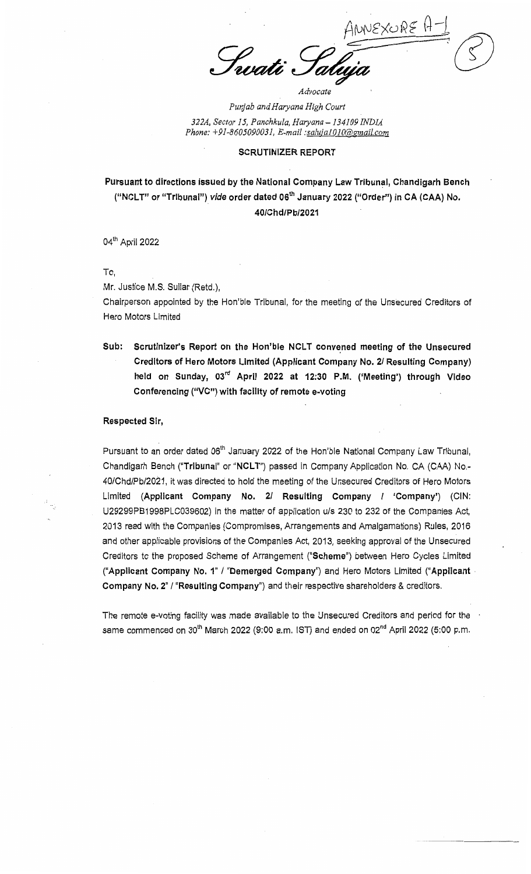NEXURE ı<br>uati

*Punjab and Haryana High Court 322A, Sector 15, Panchkula, Haryana-134109INDIA Phone: +91-8605090031, E-mail :salujalOlOr@gmail.com* 

*Advocate* 

## SCRUTINIZER REPORT

## Pursuant to directions issued by the National Company Law Tribunal, Chandigarh Bench ("NCLT" or "Tribunal") vide order dated 06<sup>th</sup> January 2022 ("Order") in CA (CAA) No. 40/Chd!Pb/2021

04th April 2022

To,

Mr. Justice M.S. Sullar (Retd.),

Chairperson appointed by the Hon'ble Tribunal, for the meeting of the Unsecured Creditors of Hero Motors Limited

Sub: Scrutinizer's Report on the Hon'ble NCLT convened meeting of the Unsecured Creditors of Hero Motors Limited (Applicant Company No. 21 Resulting Company) held on Sunday, 03<sup>rd</sup> April 2022 at 12:30 P.M. ('Meeting') through Video Conferencing (''VC") with facility of remote e-voting

## Respected Sir,

Pursuant to an order dated 06<sup>th</sup> January 2022 of the Hon'ble National Company Law Tribunal, Chandigarh Bench ("Tribunal" or "NCLT") passed in Company Application No. CA (CAA) No.-40/Chd/Pb/2021, it was directed to hold the meeting of the Unsecured Creditors of Hero Motors Limited (Applicant Company No. 2/ Resulting Company / 'Company') (CIN: U29299PB 1998PLC039602) in the matter of application u/s 230 to 232 of the Companies Act, 2013 read with the Companies (Compromises, Arrangements and Amalgamations) Rules, 2016 and other applicable provisions of the Companies Act, 2013, seeking approval of the Unsecured Creditors to the proposed Scheme of Arrangement ("Scheme") between Hero Cycles Limited ("Applicant Company No. 1" / "Demerged Company") and Hero Motors Limited ("Applicant . Company No. 2" / "Resulting Company") and their respective shareholders & creditors.

The remote e-voting facility was made available to the Unsecured Creditors and period for the same commenced on  $30<sup>th</sup>$  March 2022 (9:00 a.m. IST) and ended on 02<sup>nd</sup> April 2022 (5:00 p.m.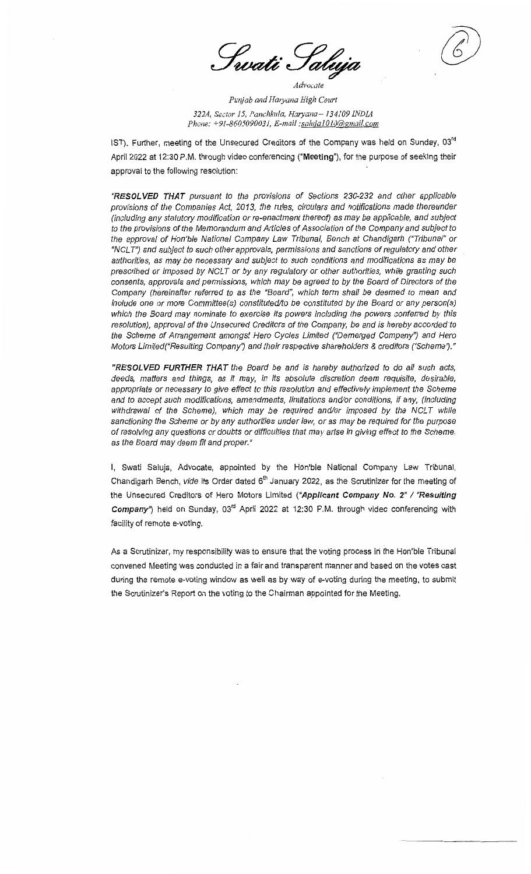evati S

*Pwijab and Hmyana High Court 322A, Sector 15, Panchkula, Haryana-134109 INDM Phone: +91-8605090031, E-mail :salujalOJO@gmail.com* 

IST). Further, meeting of the Unsecured Creditors of the Company was held on Sunday, 03<sup>rd</sup> April 2022 at 12:30 P.M. through video conferencing **("Meeting"),** for the purpose of seeking their approval to the following resolution:

"RESOLVED THAT pursuant to the provisions of Sections 230-232 and other applicable provisions of the Companies Act, 2013, the rules, circulars and notifications made thereunder (including any statutory modification or re-enactment thereof) as may be applicable, and subject to the provisions of the Memorandum and Articles of Association of the Company and subject to the approval of Hon'ble National Company Law Tribunal, Bench at Chandigarh ("Tribunal" or ''NCL T'') and subject to such other approvals, permissions and sanctions of regulatory and other authorities, as may be necessary and subject to such conditions and modifications as may be prescribed or imposed by NCLT or by any regulatory or other authorities, while granting such consents, approvals and permissions, which may be agreed to by the Board of Directors of the Company (hereinafter referred to as the "Board", which term shall be deemed to mean and include one or more Committee(s) constituted/to be constituted by the Board or any person(s) which the Board may nominate to exercise its powers including the powers conferred by this resolution), approval of the Unsecured Creditors of the Company, be and is hereby accorded to the Scheme of Arrangement amongst Hero Cycles Limited ("Demerged Company'} and Hero Motors Limited{"Resulting Company') and their respective shareholders & creditors ('Scheme/."

**"RESOLVED FURTHER THAT** the Board be and is hereby authorized to do all such acts, deeds, matters and things, as *it* may, in its absolute discretion deem requisite, desirable, appropriate or necessary to give effect to this resolution and effectively implement the Scheme and to accept such modifications, amendments, limitations and/or conditions, if any, (including withdrawal of the Scheme), which may be required and/or imposed by the NCLT while sanctioning the Scheme or by any authorities under law, or as may be required for the purpose of resolving any questions or doubts or difficulties that may arise in giving effect to the Scheme, as the Board may deem fit and proper."

I, Swati Saluja, Advocate, appointed by the Hon'ble National Company Law Tribunal, Chandigarh Bench, vide its Order dated  $6<sup>th</sup>$  January 2022, as the Scrutinizer for the meeting of the Unsecured Creditors of Hero Motors Limited ("Applicant Company No. 2" / "Resulting **Company")** held on Sunday, 03rd April 2022 at 12:30 P.M. through video conferencing with facility of remote e-voting.

As a Scrutinizer, my responsibility was to ensure that the voting process in the Hon'ble Tribunal convened Meeting was conducted in a fair and transparent manner and based on the votes cast during the remote e-voting window as well as by way of e-voting during the meeting, to submit the Scrutinizer's Report on the voting to the Chairman appointed for the Meeting.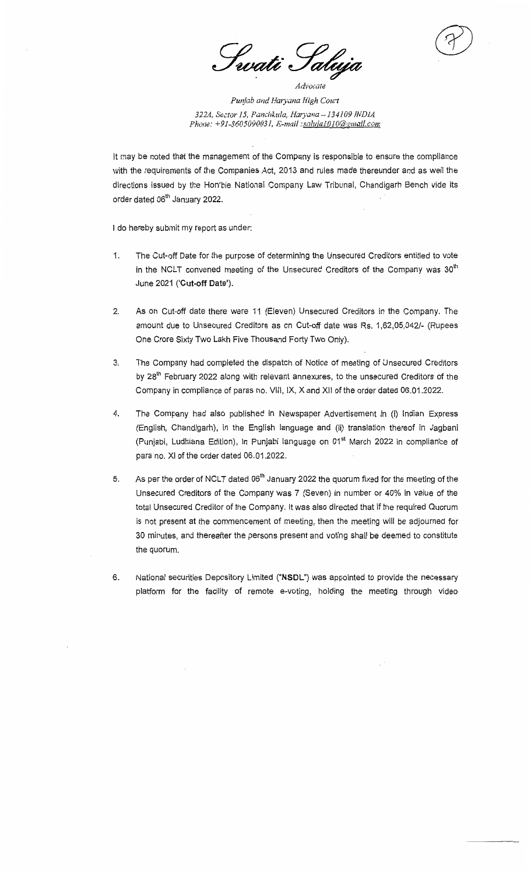evati S tal

*Punjab and Haryana High Court 322A, Se.::tor 15, Panchkula, Hmyana-134109 INDIA Phone.· +91-8605090031, E-mail:salujalOlO@rmwiLcom* 

It may be noted that the management of the Company is responsible to ensure the compliance with the requirements of the Companies Act, 2013 and rules made thereunder and as well the directions issued by the Hon'ble National Company Law Tribunal, Chandigarh Bench vide its order dated 06<sup>th</sup> January 2022.

I do hereby submit my report as under:

- 1. The Cut-off Date for the purpose of determining the Unsecured Creditors entitled to vote in the NCLT convened meeting of the Unsecured Creditors of the Company was 30<sup>th</sup> June 2021 **('Cut-off Date').**
- 2. As on Cut-off date there were 11 (Eleven) Unsecured Creditors in the Company. The amount due to Unsecured Creditors as on Cut-off date was Rs. 1,62,05,042/- (Rupees One Crore Sixty Two Lakh Five Thousand Forty Two Only).
- 3. The Company had completed the dispatch of Notice of meeting of Unsecured Creditors by 28<sup>th</sup> February 2022 along with relevant annexures, to the unsecured Creditors of the Company in compliance of paras no. VIII, IX, X and XII of the order dated 06.01.2022.
- 4. The Company had also published in Newspaper Advertisement in (i) Indian Express (English, Chandigarh), in the English language and (ii) translation thereof in Jagbani (Punjabi, Ludhiana Edition), in Punjabi language on 01<sup>st</sup> March 2022 in compliance of para no. XI of the order dated 06.01.2022.
- 5. As per the order of NCLT dated  $06<sup>th</sup>$  January 2022 the quorum fixed for the meeting of the Unsecured Creditors of the Company was 7 (Seven) in number or 40% in value of the total Unsecured Creditor of the Company. It was also directed that if the required Quorum is not present at the commencement of meeting, then the meeting will be adjourned for 30 minutes, and thereafter the persons present and voting shall be deemed to constitute the quorum.
- 6. National securities Depository Limited **("NSDL")** was appointed to provide the necessary platform for the facility of remote e-voting, holding the meeting through video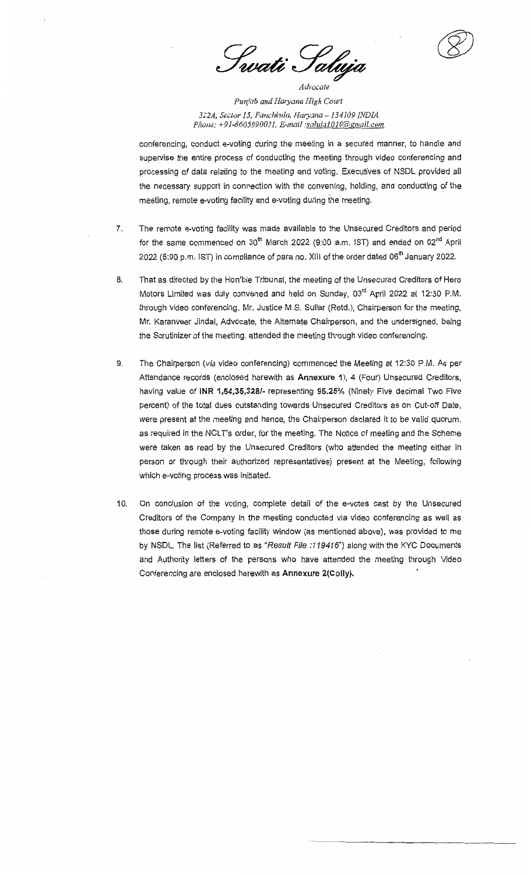1wati Saluja

*Punjab and Haryana High Cow1*  322A, Sector 15, Panchkula, Haryana - 134109 INDIA *Phone: +91-8605090031, E-mail :saluja1010@gmail.com* 

conferencing, conduct e-voting during the meeting in a secured manner, to handle and supervise the entire process of conducting the meeting through video conferencing and processing of data relating to the meeting and voting. Executives of NSDL provided all the necessary support in connection with the convening, holding, and conducting of the meeting, remote e-voting facility and e-voting during the meeting.

- 7. The remote e-voting facility was made available to the Unsecured Creditors and period for the same commenced on  $30<sup>th</sup>$  March 2022 (9:00 a.m. IST) and ended on 02<sup>nd</sup> April 2022 (5:00 p.m. IST) in compliance of para no. XIII of the order dated  $06<sup>th</sup>$  January 2022.
- 8. That as directed by the Hon'ble Tribunal, the meeting of the Unsecured Creditors of Hero Motors Limited was duly convened and held on Sunday, 03'd April 2022 at 12:30 P.M. through video conferencing. Mr. Justice M.S. Sullar (Retd.), Chairperson for the meeting, Mr. Karanveer Jindal, Advocate, the Alternate Chairperson, and the undersigned, being the Scrutinizer of the meeting, attended the meeting through video conferencing.
- 9. The Chairperson (via video conferencing) commenced the Meeting at 12:30 P.M. As per Attendance records (enclosed herewith as **Annexure 1),** 4 (Four) Unsecured Creditors, having value of **INR 1,54,35,328/-** representing **95.25%** (Ninety Five decimal Two Five percent) of the total dues outstanding towards Unsecured Creditors as on Cut-off Date, were present at the meeting and hence, the Chairperson declared it to be valid quorum, as required in the NCLT's order, for the meeting. The Notice of meeting and the Scheme were taken as read by the Unsecured Creditors (who attended the meeting either in person or through their authorized representatives) present at the Meeting, following which e-voting process was initiated.
- 10. On conclusion of the voting, complete detail of the e-votes cast by the Unsecured Creditors of the Company in the meeting conducted via video conferencing as well as those during remote e-voting facility window (as mentioned above), was provided to me by NSDL. The list (Referred to as "Result File :119416") along with the KYC Documents and Authority letters of the persons who have attended the meeting through Video Conferencing are enclosed herewith as **Annexure 2(Colly).**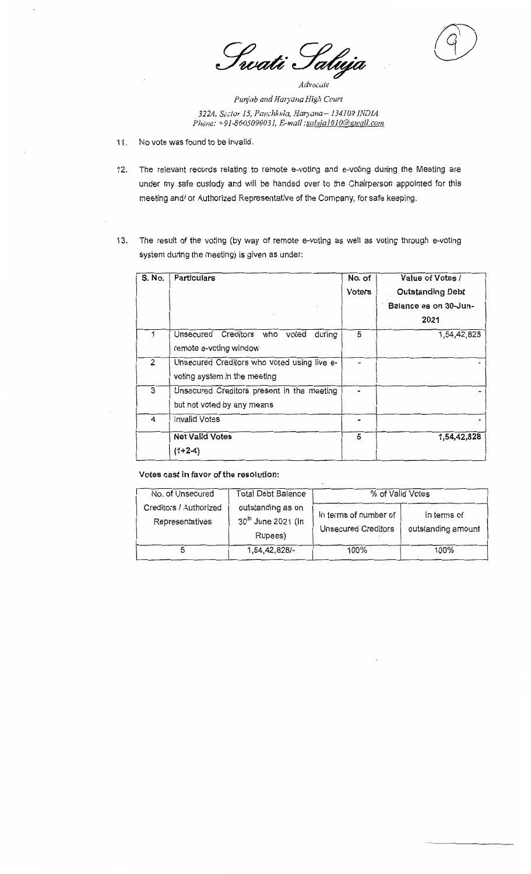Swati Saluja

*Punjab andHmyana High Court 322A, &ctor 15, Panchkitla, Haryana-134109 JNDJA Phone: +91-8605090031, E-mail :safujaJOIO@!gmail.com* 

- 11. No vote was found to be invalid.
- 12. The relevant records relating to remote e-voting and e-voting during the Meeting are under my safe custody and will be handed over to the Chairperson appointed for this meeting and/ or Authorized Representative of the Company, for safe keeping.
- 13. The result of the voting (by way of remote e-voting as well as voting through e-voting system during the meeting) is given as under:

| S. No. | Particulars                                 | No. of | Value of Votes /        |
|--------|---------------------------------------------|--------|-------------------------|
|        |                                             | Voters | <b>Outstanding Debt</b> |
|        |                                             |        | Balance as on 30-Jun-   |
|        |                                             |        | 2021                    |
|        | Unsecured Creditors who<br>during<br>voted  | 5      | 1,54,42,828             |
|        | remote e-voting window                      |        |                         |
| 2      | Unsecured Creditors who voted using live e- |        |                         |
|        | voting system in the meeting                |        |                         |
| 3      | Unsecured Creditors present in the meeting  |        |                         |
|        | but not voted by any means                  |        |                         |
| 4      | Invalid Votes                               |        |                         |
|        | <b>Net Valid Votes</b>                      | 5      | 1,54,42,828             |
|        | (1+2-4)                                     |        |                         |
|        |                                             |        |                         |

## **Votes cast in favor of the resolution:**

| No. of Unsecured                          | Total Debt Balance<br>outstanding as on<br>30 <sup>th</sup> June 2021 (In<br>Rupees) | % of Valid Votes                             |                                   |  |
|-------------------------------------------|--------------------------------------------------------------------------------------|----------------------------------------------|-----------------------------------|--|
| Creditors / Authorized<br>Representatives |                                                                                      | In terms of number of<br>Unsecured Creditors | In terms of<br>outstanding amount |  |
|                                           | 1,54,42,828/-                                                                        | 100%                                         | 100%                              |  |